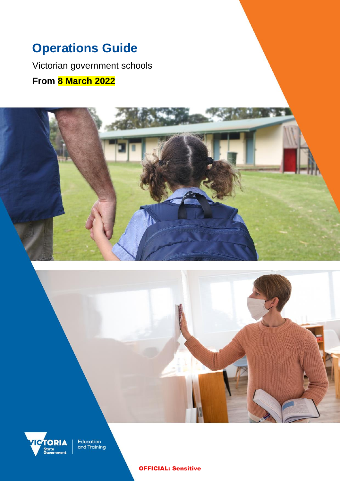# **Operations Guide**

Victorian government schools **From 8 March 2022**





Education<br>and Training

OFFICIAL: Sensitive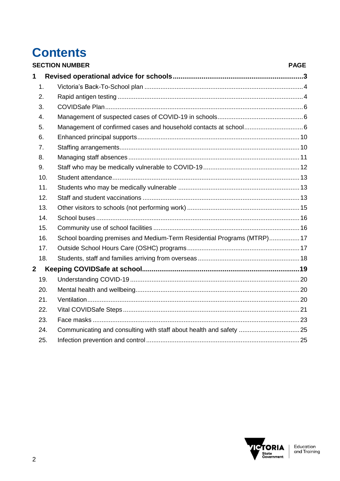# **Contents**

|                         | <b>SECTION NUMBER</b><br><b>PAGE</b> |                                                                         |  |
|-------------------------|--------------------------------------|-------------------------------------------------------------------------|--|
| 1                       |                                      |                                                                         |  |
|                         | 1.                                   |                                                                         |  |
|                         | 2.                                   |                                                                         |  |
|                         | 3.                                   |                                                                         |  |
|                         | 4.                                   |                                                                         |  |
|                         | 5.                                   |                                                                         |  |
|                         | 6.                                   |                                                                         |  |
|                         | 7.                                   |                                                                         |  |
|                         | 8.                                   |                                                                         |  |
|                         | 9.                                   |                                                                         |  |
|                         | 10.                                  |                                                                         |  |
|                         | 11.                                  |                                                                         |  |
|                         | 12.                                  |                                                                         |  |
|                         | 13.                                  |                                                                         |  |
|                         | 14.                                  |                                                                         |  |
|                         | 15.                                  |                                                                         |  |
|                         | 16.                                  | School boarding premises and Medium-Term Residential Programs (MTRP) 17 |  |
|                         | 17.                                  |                                                                         |  |
|                         | 18.                                  |                                                                         |  |
| $\overline{\mathbf{2}}$ |                                      |                                                                         |  |
|                         | 19.                                  |                                                                         |  |
|                         | 20.                                  |                                                                         |  |
|                         | 21.                                  |                                                                         |  |
|                         | 22.                                  |                                                                         |  |
|                         | 23.                                  |                                                                         |  |
|                         | 24.                                  |                                                                         |  |
|                         | 25.                                  |                                                                         |  |

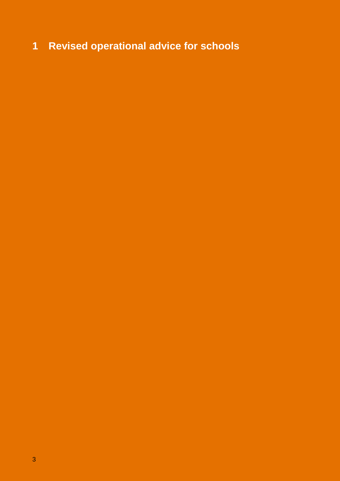# <span id="page-2-0"></span>**Revised operational advice for schools**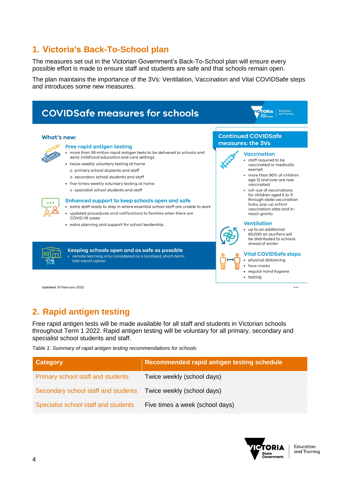# <span id="page-3-0"></span>**1. Victoria's Back-To-School plan**

The measures set out in the Victorian Government's Back-To-School plan will ensure every possible effort is made to ensure staff and students are safe and that schools remain open.

The plan maintains the importance of the 3Vs: Ventilation, Vaccination and Vital COVIDSafe steps and introduces some new measures.



Updated: 15 February 2022

# <span id="page-3-1"></span>**2. Rapid antigen testing**

Free rapid antigen tests will be made available for all staff and students in Victorian schools throughout Term 1 2022. Rapid antigen testing will be voluntary for all primary, secondary and specialist school students and staff.

*Table 1: Summary of rapid antigen testing recommendations for schools*

| <b>Category</b>                      | <b>Recommended rapid antigen testing schedule</b> |
|--------------------------------------|---------------------------------------------------|
| Primary school staff and students    | Twice weekly (school days)                        |
| Secondary school staff and students  | Twice weekly (school days)                        |
| Specialist school staff and students | Five times a week (school days)                   |



22-017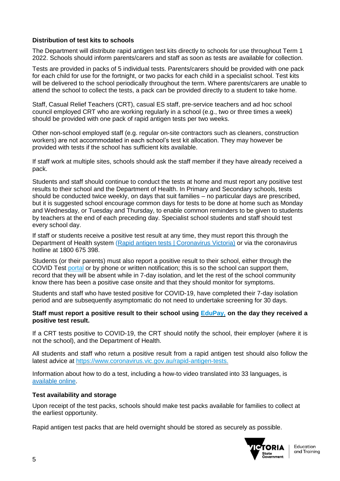### **Distribution of test kits to schools**

The Department will distribute rapid antigen test kits directly to schools for use throughout Term 1 2022. Schools should inform parents/carers and staff as soon as tests are available for collection.

Tests are provided in packs of 5 individual tests. Parents/carers should be provided with one pack for each child for use for the fortnight, or two packs for each child in a specialist school. Test kits will be delivered to the school periodically throughout the term. Where parents/carers are unable to attend the school to collect the tests, a pack can be provided directly to a student to take home.

Staff, Casual Relief Teachers (CRT), casual ES staff, pre-service teachers and ad hoc school council employed CRT who are working regularly in a school (e.g., two or three times a week) should be provided with one pack of rapid antigen tests per two weeks.

Other non-school employed staff (e.g. regular on-site contractors such as cleaners, construction workers) are not accommodated in each school's test kit allocation. They may however be provided with tests if the school has sufficient kits available.

If staff work at multiple sites, schools should ask the staff member if they have already received a pack.

Students and staff should continue to conduct the tests at home and must report any positive test results to their school and the Department of Health. In Primary and Secondary schools, tests should be conducted twice weekly, on days that suit families – no particular days are prescribed, but it is suggested school encourage common days for tests to be done at home such as Monday and Wednesday, or Tuesday and Thursday, to enable common reminders to be given to students by teachers at the end of each preceding day. Specialist school students and staff should test every school day.

If staff or students receive a positive test result at any time, they must report this through the Department of Health system [\(Rapid antigen tests | Coronavirus Victoria\)](https://www.coronavirus.vic.gov.au/rapid-antigen-tests#report-a-positive-result-on-a-rapid-antigen-test) or via the coronavirus hotline at 1800 675 398.

Students (or their parents) must also report a positive result to their school, either through the COVID Test [portal](https://covidtest.educationapps.vic.gov.au/) or by phone or written notification; this is so the school can support them, record that they will be absent while in 7-day isolation, and let the rest of the school community know there has been a positive case onsite and that they should monitor for symptoms.

Students and staff who have tested positive for COVID-19, have completed their 7-day isolation period and are subsequently asymptomatic do not need to undertake screening for 30 days.

#### **Staff must report a positive result to their school using [EduPay,](https://edupay.eduweb.vic.gov.au/) on the day they received a positive test result.**

If a CRT tests positive to COVID-19, the CRT should notify the school, their employer (where it is not the school), and the Department of Health.

All students and staff who return a positive result from a rapid antigen test should also follow the latest advice at [https://www.coronavirus.vic.gov.au/rapid-antigen-tests.](https://www.coronavirus.vic.gov.au/rapid-antigen-tests)

Information about how to do a test, including a how-to video translated into 33 languages, is [available online.](https://aus01.safelinks.protection.outlook.com/?url=https%3A%2F%2Fwww.coronavirus.vic.gov.au%2Frapid-antigen-testing-schools&data=04%7C01%7CAnthony.Raitman%40education.vic.gov.au%7Cc1d5148bf4e9410b65cb08d9da69ebb8%7Cd96cb3371a8744cfb69b3cec334a4c1f%7C0%7C0%7C637780970722955384%7CUnknown%7CTWFpbGZsb3d8eyJWIjoiMC4wLjAwMDAiLCJQIjoiV2luMzIiLCJBTiI6Ik1haWwiLCJXVCI6Mn0%3D%7C3000&sdata=iiM4sKzjhtR8PLbgB%2FR7eqBxzSWCZVchAorAoQwa%2FHI%3D&reserved=0)

#### **Test availability and storage**

Upon receipt of the test packs, schools should make test packs available for families to collect at the earliest opportunity.

Rapid antigen test packs that are held overnight should be stored as securely as possible.

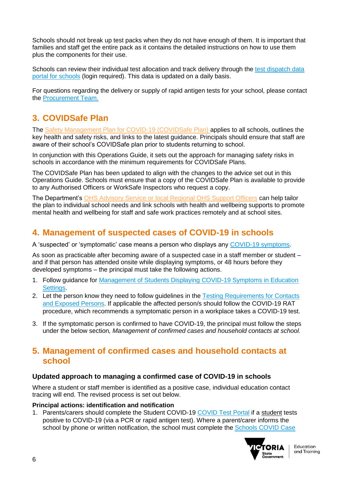Schools should not break up test packs when they do not have enough of them. It is important that families and staff get the entire pack as it contains the detailed instructions on how to use them plus the components for their use.

Schools can review their individual test allocation and track delivery through the test dispatch data [portal for schools](https://edugate.eduweb.vic.gov.au/edrms/RAT/Pages/default.aspx) (login required). This data is updated on a daily basis.

For questions regarding the delivery or supply of rapid antigen tests for your school, please contact the [Procurement Team.](https://edugate.eduweb.vic.gov.au/sites/i/Pages/School.aspx#/app/content/3554/support_and_service_(schools)%252Fcoronavirus_and_learning_from_home%252Fcovid-19_contacts%252Fcovid-19_key_contact_information) 

# <span id="page-5-0"></span>**3. COVIDSafe Plan**

The [Safety Management Plan for COVID-19](https://www.education.vic.gov.au/hrweb/Documents/OHS/COVID19SafetyManagementPlan.docx) (COVIDSafe Plan) applies to all schools, outlines the key health and safety risks, and links to the latest guidance. Principals should ensure that staff are aware of their school's COVIDSafe plan prior to students returning to school.

In conjunction with this Operations Guide, it sets out the approach for managing safety risks in schools in accordance with the minimum requirements for COVIDSafe Plans.

The COVIDSafe Plan has been updated to align with the changes to the advice set out in this Operations Guide. Schools must ensure that a copy of the COVIDSafe Plan is available to provide to any Authorised Officers or WorkSafe Inspectors who request a copy.

The Department's OHS [Advisory Service or local Regional OHS Support Officers](https://www2.education.vic.gov.au/pal/occupational-health-and-safety-management-system-ohsms/guidance/useful-contacts-schools) can help tailor the plan to individual school needs and link schools with health and wellbeing supports to promote mental health and wellbeing for staff and safe work practices remotely and at school sites.

## <span id="page-5-1"></span>**4. Management of suspected cases of COVID-19 in schools**

A 'suspected' or 'symptomatic' case means a person who displays any [COVID-19 symptoms.](https://www.coronavirus.vic.gov.au/symptoms-and-risks)

As soon as practicable after becoming aware of a suspected case in a staff member or student – and if that person has attended onsite while displaying symptoms, or 48 hours before they developed symptoms – the principal must take the following actions.

- 1. Follow guidance for [Management of Students Displaying COVID-19 Symptoms in Education](https://edugate.eduweb.vic.gov.au/sites/i/_layouts/15/WopiFrame2.aspx?sourcedoc=/sites/i/Shared%20Documents/Coronavirus/students-with-covid-symptoms.docx&action=default)  [Settings.](https://edugate.eduweb.vic.gov.au/sites/i/_layouts/15/WopiFrame2.aspx?sourcedoc=/sites/i/Shared%20Documents/Coronavirus/students-with-covid-symptoms.docx&action=default)
- 2. Let the person know they need to follow guidelines in the **Testing Requirements for Contacts** [and Exposed](https://www.health.vic.gov.au/sites/default/files/2021-12/testing-requirements-for-contacts-and-exposed-persons-30-december-2021.docx) Persons. If applicable the affected person/s should follow the COVID-19 RAT procedure, which recommends a symptomatic person in a workplace takes a COVID-19 test.
- 3. If the symptomatic person is confirmed to have COVID-19, the principal must follow the steps under the below section*, Management of confirmed cases and household contacts at school.*

### <span id="page-5-2"></span>**5. Management of confirmed cases and household contacts at school**

### **Updated approach to managing a confirmed case of COVID-19 in schools**

Where a student or staff member is identified as a positive case, individual education contact tracing will end. The revised process is set out below.

### **Principal actions: identification and notification**

1. Parents/carers should complete the Student COVID-19 [COVID Test Portal](https://covidtest.educationapps.vic.gov.au/) if a student tests positive to COVID-19 (via a PCR or rapid antigen test). Where a parent/carer informs the school by phone or written notification, the school must complete the Schools COVID Case

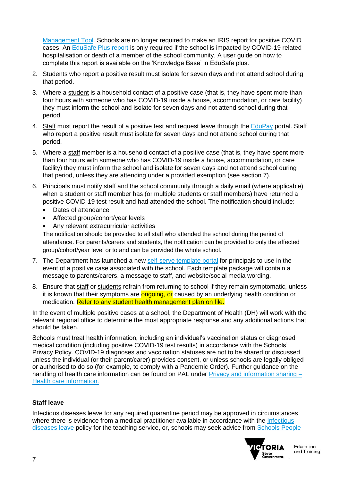[Management Tool.](https://covid19reporting.educationapps.vic.gov.au/) Schools are no longer required to make an IRIS report for positive COVID cases. An [EduSafe Plus report](https://services.educationapps.vic.gov.au/edusafeplus) is only required if the school is impacted by COVID-19 related hospitalisation or death of a member of the school community. A user guide on how to complete this report is available on the 'Knowledge Base' in EduSafe plus.

- 2. Students who report a positive result must isolate for seven days and not attend school during that period.
- 3. Where a student is a household contact of a positive case (that is, they have spent more than four hours with someone who has COVID-19 inside a house, accommodation, or care facility) they must inform the school and isolate for seven days and not attend school during that period.
- 4. Staff must report the result of a positive test and request leave through the [EduPay](https://edupay.eduweb.vic.gov.au/) portal. Staff who report a positive result must isolate for seven days and not attend school during that period.
- 5. Where a staff member is a household contact of a positive case (that is, they have spent more than four hours with someone who has COVID-19 inside a house, accommodation, or care facility) they must inform the school and isolate for seven days and not attend school during that period, unless they are attending under a provided exemption (see section 7).
- 6. Principals must notify staff and the school community through a daily email (where applicable) when a student or staff member has (or multiple students or staff members) have returned a positive COVID-19 test result and had attended the school. The notification should include:
	- Dates of attendance
	- Affected group/cohort/year levels
	- Any relevant extracurricular activities

The notification should be provided to all staff who attended the school during the period of attendance. For parents/carers and students, the notification can be provided to only the affected group/cohort/year level or to and can be provided the whole school.

- 7. The Department has launched a new [self-serve template portal](https://edugate.eduweb.vic.gov.au/sites/i/Pages/production.aspx#/app/content/3529/support_and_service_(schools)%252Fcoronavirus_and_learning_from_home%252Fcommunicating_with_parents_and_students%252Fcovid-19_communication_packages_for_schools) for principals to use in the event of a positive case associated with the school. Each template package will contain a message to parents/carers, a message to staff, and website/social media wording.
- 8. Ensure that staff or students refrain from returning to school if they remain symptomatic, unless it is known that their symptoms are **ongoing, or** caused by an underlying health condition or medication. Refer to any student health management plan on file.

In the event of multiple positive cases at a school, the Department of Health (DH) will work with the relevant regional office to determine the most appropriate response and any additional actions that should be taken.

Schools must treat health information, including an individual's vaccination status or diagnosed medical condition (including positive COVID-19 test results) in accordance with the [Schools'](https://www.education.vic.gov.au/Pages/schoolsprivacypolicy.aspx)  [Privacy Policy.](https://www.education.vic.gov.au/Pages/schoolsprivacypolicy.aspx) COVID-19 diagnoses and vaccination statuses are not to be shared or discussed unless the individual (or their parent/carer) provides consent, or unless schools are legally obliged or authorised to do so (for example, to comply with a Pandemic Order). Further guidance on the handling of health care information can be found on PAL under  $Privacy$  and information sharing  $-$ [Health care information.](https://www2.education.vic.gov.au/pal/privacy-information-sharing/guidance/health-care-information)

### **Staff leave**

Infectious diseases leave for any required quarantine period may be approved in circumstances where there is evidence from a medical practitioner available in accordance with the Infectious [diseases leave](https://www2.education.vic.gov.au/pal/infectious-diseases-leave-teaching-service/overview) policy for the teaching service, or, schools may seek advice from Schools People

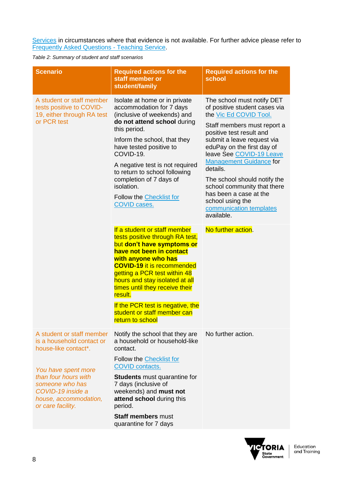[Services](https://edugate.eduweb.vic.gov.au/sites/i/Pages/School.aspx#/app/content/3554/support_and_service_(schools)%252Fcoronavirus_and_learning_from_home%252Fcovid-19_contacts%252Fcovid-19_key_contact_information) in circumstances where that evidence is not available. For further advice please refer to [Frequently Asked Questions -](https://www.education.vic.gov.au/hrweb/Documents/COVID-19-Teaching-Service-FAQS.docx) Teaching Service.

*Table 2: Summary of student and staff scenarios*

| <b>Scenario</b>                                                                                            | <b>Required actions for the</b><br>staff member or<br>student/family                                                                                                                                                                                                                                 | <b>Required actions for the</b><br>school                                                                                          |
|------------------------------------------------------------------------------------------------------------|------------------------------------------------------------------------------------------------------------------------------------------------------------------------------------------------------------------------------------------------------------------------------------------------------|------------------------------------------------------------------------------------------------------------------------------------|
| A student or staff member<br>tests positive to COVID-<br>19, either through RA test<br>or PCR test         | Isolate at home or in private<br>accommodation for 7 days<br>(inclusive of weekends) and<br>do not attend school during                                                                                                                                                                              | The school must notify DET<br>of positive student cases via<br>the Vic Ed COVID Tool.                                              |
|                                                                                                            | this period.                                                                                                                                                                                                                                                                                         | Staff members must report a<br>positive test result and                                                                            |
|                                                                                                            | Inform the school, that they<br>have tested positive to<br>COVID-19.                                                                                                                                                                                                                                 | submit a leave request via<br>eduPay on the first day of<br>leave See COVID-19 Leave<br><b>Management Guidance for</b><br>details. |
|                                                                                                            | A negative test is not required<br>to return to school following<br>completion of 7 days of<br>isolation.                                                                                                                                                                                            |                                                                                                                                    |
|                                                                                                            |                                                                                                                                                                                                                                                                                                      | The school should notify the<br>school community that there                                                                        |
|                                                                                                            | Follow the Checklist for<br><b>COVID cases.</b>                                                                                                                                                                                                                                                      | has been a case at the<br>school using the<br>communication templates<br>available.                                                |
|                                                                                                            | If a student or staff member<br>tests positive through RA test,<br>but don't have symptoms or<br>have not been in contact<br>with anyone who has<br><b>COVID-19 it is recommended</b><br>getting a PCR test within 48<br>hours and stay isolated at all<br>times until they receive their<br>result. | No further action.                                                                                                                 |
|                                                                                                            | If the PCR test is negative, the<br>student or staff member can<br>return to school                                                                                                                                                                                                                  |                                                                                                                                    |
| A student or staff member<br>is a household contact or<br>house-like contact*.                             | Notify the school that they are<br>a household or household-like<br>contact.                                                                                                                                                                                                                         | No further action.                                                                                                                 |
| You have spent more                                                                                        | Follow the Checklist for<br><b>COVID contacts.</b>                                                                                                                                                                                                                                                   |                                                                                                                                    |
| than four hours with<br>someone who has<br>COVID-19 inside a<br>house, accommodation,<br>or care facility. | <b>Students</b> must quarantine for<br>7 days (inclusive of<br>weekends) and must not<br>attend school during this<br>period.                                                                                                                                                                        |                                                                                                                                    |
|                                                                                                            | <b>Staff members must</b><br>quarantine for 7 days                                                                                                                                                                                                                                                   |                                                                                                                                    |

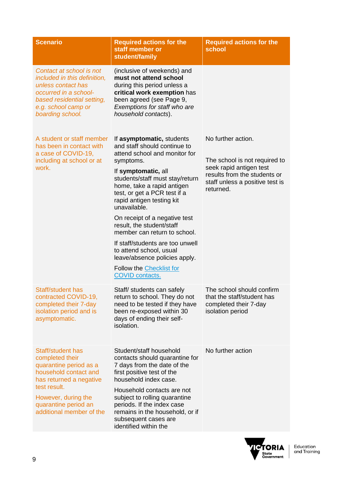| <b>Scenario</b>                                                                                                                                                                                               | <b>Required actions for the</b><br>staff member or<br>student/family                                                                                                                                                                                                                                                                                                                                                                                                                                                                    | <b>Required actions for the</b><br>school                                                                                                                      |
|---------------------------------------------------------------------------------------------------------------------------------------------------------------------------------------------------------------|-----------------------------------------------------------------------------------------------------------------------------------------------------------------------------------------------------------------------------------------------------------------------------------------------------------------------------------------------------------------------------------------------------------------------------------------------------------------------------------------------------------------------------------------|----------------------------------------------------------------------------------------------------------------------------------------------------------------|
| Contact at school is not<br>included in this definition,<br>unless contact has<br>occurred in a school-<br>based residential setting,<br>e.g. school camp or<br>boarding school.                              | (inclusive of weekends) and<br>must not attend school<br>during this period unless a<br>critical work exemption has<br>been agreed (see Page 9,<br>Exemptions for staff who are<br>household contacts).                                                                                                                                                                                                                                                                                                                                 |                                                                                                                                                                |
| A student or staff member<br>has been in contact with<br>a case of COVID-19,<br>including at school or at<br>work.                                                                                            | If asymptomatic, students<br>and staff should continue to<br>attend school and monitor for<br>symptoms.<br>If symptomatic, all<br>students/staff must stay/return<br>home, take a rapid antigen<br>test, or get a PCR test if a<br>rapid antigen testing kit<br>unavailable.<br>On receipt of a negative test<br>result, the student/staff<br>member can return to school.<br>If staff/students are too unwell<br>to attend school, usual<br>leave/absence policies apply.<br>Follow the <b>Checklist for</b><br><b>COVID contacts.</b> | No further action.<br>The school is not required to<br>seek rapid antigen test<br>results from the students or<br>staff unless a positive test is<br>returned. |
| Staff/student has<br>contracted COVID-19,<br>completed their 7-day<br>isolation period and is<br>asymptomatic.                                                                                                | Staff/ students can safely<br>return to school. They do not<br>need to be tested if they have<br>been re-exposed within 30<br>days of ending their self-<br>isolation.                                                                                                                                                                                                                                                                                                                                                                  | The school should confirm<br>that the staff/student has<br>completed their 7-day<br>isolation period                                                           |
| Staff/student has<br>completed their<br>quarantine period as a<br>household contact and<br>has returned a negative<br>test result.<br>However, during the<br>quarantine period an<br>additional member of the | Student/staff household<br>contacts should quarantine for<br>7 days from the date of the<br>first positive test of the<br>household index case.<br>Household contacts are not<br>subject to rolling quarantine<br>periods. If the index case<br>remains in the household, or if<br>subsequent cases are<br>identified within the                                                                                                                                                                                                        | No further action                                                                                                                                              |

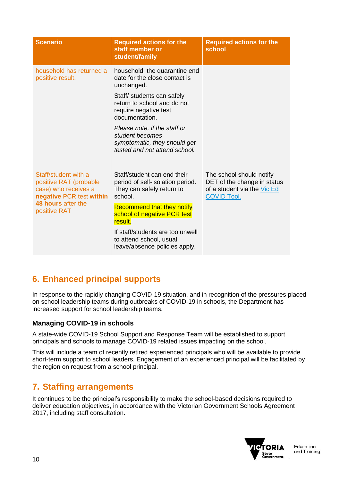| <b>Scenario</b>                                                                                    | <b>Required actions for the</b><br>staff member or<br>student/family                                             | <b>Required actions for the</b><br>school                                                                    |
|----------------------------------------------------------------------------------------------------|------------------------------------------------------------------------------------------------------------------|--------------------------------------------------------------------------------------------------------------|
| household has returned a<br>positive result.                                                       | household, the quarantine end<br>date for the close contact is<br>unchanged.                                     |                                                                                                              |
|                                                                                                    | Staff/ students can safely<br>return to school and do not<br>require negative test<br>documentation.             |                                                                                                              |
|                                                                                                    | Please note, if the staff or<br>student becomes<br>symptomatic, they should get<br>tested and not attend school. |                                                                                                              |
| Staff/student with a<br>positive RAT (probable<br>case) who receives a<br>negative PCR test within | Staff/student can end their<br>period of self-isolation period.<br>They can safely return to<br>school.          | The school should notify<br>DET of the change in status<br>of a student via the Vic Ed<br><b>COVID Tool.</b> |
| 48 hours after the<br>positive RAT                                                                 | <b>Recommend that they notify</b><br>school of negative PCR test<br>result.                                      |                                                                                                              |
|                                                                                                    | If staff/students are too unwell<br>to attend school, usual<br>leave/absence policies apply.                     |                                                                                                              |

# <span id="page-9-0"></span>**6. Enhanced principal supports**

In response to the rapidly changing COVID-19 situation, and in recognition of the pressures placed on school leadership teams during outbreaks of COVID-19 in schools, the Department has increased support for school leadership teams.

### **Managing COVID-19 in schools**

A state-wide COVID-19 School Support and Response Team will be established to support principals and schools to manage COVID-19 related issues impacting on the school.

This will include a team of recently retired experienced principals who will be available to provide short-term support to school leaders. Engagement of an experienced principal will be facilitated by the region on request from a school principal.

### <span id="page-9-1"></span>**7. Staffing arrangements**

It continues to be the principal's responsibility to make the school-based decisions required to deliver education objectives, in accordance with the Victorian Government Schools Agreement 2017, including staff consultation.

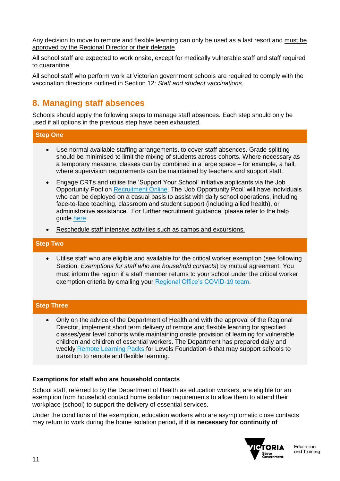Any decision to move to remote and flexible learning can only be used as a last resort and must be approved by the Regional Director or their delegate.

All school staff are expected to work onsite, except for medically vulnerable staff and staff required to quarantine.

All school staff who perform work at Victorian government schools are required to comply with the vaccination directions outlined in Section 12: *Staff and student vaccinations.*

## <span id="page-10-0"></span>**8. Managing staff absences**

Schools should apply the following steps to manage staff absences. Each step should only be used if all options in the previous step have been exhausted.

### **Step One**

- Use normal available staffing arrangements, to cover staff absences. Grade splitting should be minimised to limit the mixing of students across cohorts. Where necessary as a temporary measure, classes can by combined in a large space – for example, a hall, where supervision requirements can be maintained by teachers and support staff.
- Engage CRTs and utilise the 'Support Your School' initiative applicants via the Job Opportunity Pool on **Recruitment Online**. The 'Job Opportunity Pool' will have individuals who can be deployed on a casual basis to assist with daily school operations, including face-to-face teaching, classroom and student support (including allied health), or administrative assistance.' For further recruitment guidance, please refer to the help guide [here.](https://edugate.eduweb.vic.gov.au/Services/HR/Documents/ROL-SYSI-Job-Opportunity-Pool.pdf)
- Reschedule staff intensive activities such as camps and excursions.

#### **Step Two**

• Utilise staff who are eligible and available for the critical worker exemption (see following Section: *Exemptions for staff who are household contacts*) by mutual agreement. You must inform the region if a staff member returns to your school under the critical worker exemption criteria by emailing your [Regional Office's COVID-19 team.](https://edugate.eduweb.vic.gov.au/sites/i/Pages/School.aspx#/app/content/3554/support_and_service_(schools)%252Fcoronavirus_and_learning_from_home%252Fcovid-19_contacts%252Fcovid-19_key_contact_information)

#### **Step Three**

• Only on the advice of the Department of Health and with the approval of the Regional Director, implement short term delivery of remote and flexible learning for specified classes/year level cohorts while maintaining onsite provision of learning for vulnerable children and children of essential workers. The Department has prepared daily and weekly [Remote Learning Packs](https://aus01.safelinks.protection.outlook.com/?url=https%3A%2F%2Fdrive.google.com%2Fdrive%2Ffolders%2F1_PLbFp3kefD5M3BuvcMdwC5SRMBIoLbr&data=04%7C01%7CMadeleine.Taylor2%40education.vic.gov.au%7C6896a1818fb8487f3f5508d9ec70dd83%7Cd96cb3371a8744cfb69b3cec334a4c1f%7C0%7C0%7C637800791767677973%7CUnknown%7CTWFpbGZsb3d8eyJWIjoiMC4wLjAwMDAiLCJQIjoiV2luMzIiLCJBTiI6Ik1haWwiLCJXVCI6Mn0%3D%7C3000&sdata=Bqi2K1pLBPcFdXXrGhgatHlacKYhaoeLcbEKI6Ucyxw%3D&reserved=0) for Levels Foundation-6 that may support schools to transition to remote and flexible learning.

#### **Exemptions for staff who are household contacts**

School staff, referred to by the Department of Health as education workers, are eligible for an exemption from household contact home isolation requirements to allow them to attend their workplace (school) to support the delivery of essential services.

Under the conditions of the exemption, education workers who are asymptomatic close contacts may return to work during the home isolation period**, if it is necessary for continuity of** 

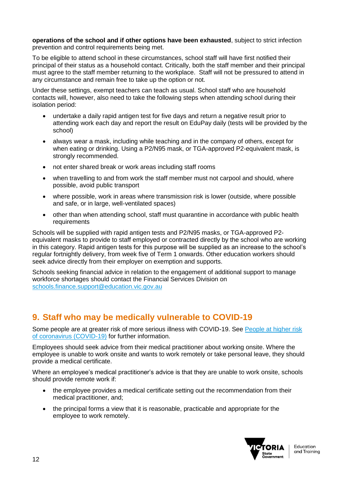**operations of the school and if other options have been exhausted**, subject to strict infection prevention and control requirements being met.

To be eligible to attend school in these circumstances, school staff will have first notified their principal of their status as a household contact. Critically, both the staff member and their principal must agree to the staff member returning to the workplace. Staff will not be pressured to attend in any circumstance and remain free to take up the option or not.

Under these settings, exempt teachers can teach as usual. School staff who are household contacts will, however, also need to take the following steps when attending school during their isolation period:

- undertake a daily rapid antigen test for five days and return a negative result prior to attending work each day and report the result on EduPay daily (tests will be provided by the school)
- always wear a mask, including while teaching and in the company of others, except for when eating or drinking. Using a P2/N95 mask, or TGA-approved P2-equivalent mask, is strongly recommended.
- not enter shared break or work areas including staff rooms
- when travelling to and from work the staff member must not carpool and should, where possible, avoid public transport
- where possible, work in areas where transmission risk is lower (outside, where possible and safe, or in large, well-ventilated spaces)
- other than when attending school, staff must quarantine in accordance with public health requirements

Schools will be supplied with rapid antigen tests and P2/N95 masks, or TGA-approved P2 equivalent masks to provide to staff employed or contracted directly by the school who are working in this category. Rapid antigen tests for this purpose will be supplied as an increase to the school's regular fortnightly delivery, from week five of Term 1 onwards. Other education workers should seek advice directly from their employer on exemption and supports.

Schools seeking financial advice in relation to the engagement of additional support to manage workforce shortages should contact the Financial Services Division on [schools.finance.support@education.vic.gov.au](mailto:schools.finance.support@education.vic.gov.au)

# <span id="page-11-0"></span>**9. Staff who may be medically vulnerable to COVID-19**

Some people are at greater risk of more serious illness with COVID-19. See [People at higher risk](https://aus01.safelinks.protection.outlook.com/?url=https%3A%2F%2Fwww.health.gov.au%2Fnews%2Fhealth-alerts%2Fnovel-coronavirus-2019-ncov-health-alert%2Fongoing-support-during-coronavirus-covid-19%2Fwhat-you-need-to-know-about-coronavirus-covid-19%2Fpeople-at-higher-risk-of-coronavirus-covid-19&data=04%7C01%7CEmily.Roberts4%40education.vic.gov.au%7Ce1b6942855de4f0da94508d99cbc7ae5%7Cd96cb3371a8744cfb69b3cec334a4c1f%7C0%7C0%7C637713155593069047%7CUnknown%7CTWFpbGZsb3d8eyJWIjoiMC4wLjAwMDAiLCJQIjoiV2luMzIiLCJBTiI6Ik1haWwiLCJXVCI6Mn0%3D%7C1000&sdata=S0vpT8P7cwun00wIicCcUzJRg1r7WRO1QFca2K2XCoc%3D&reserved=0)  [of coronavirus \(COVID-19\)](https://aus01.safelinks.protection.outlook.com/?url=https%3A%2F%2Fwww.health.gov.au%2Fnews%2Fhealth-alerts%2Fnovel-coronavirus-2019-ncov-health-alert%2Fongoing-support-during-coronavirus-covid-19%2Fwhat-you-need-to-know-about-coronavirus-covid-19%2Fpeople-at-higher-risk-of-coronavirus-covid-19&data=04%7C01%7CEmily.Roberts4%40education.vic.gov.au%7Ce1b6942855de4f0da94508d99cbc7ae5%7Cd96cb3371a8744cfb69b3cec334a4c1f%7C0%7C0%7C637713155593069047%7CUnknown%7CTWFpbGZsb3d8eyJWIjoiMC4wLjAwMDAiLCJQIjoiV2luMzIiLCJBTiI6Ik1haWwiLCJXVCI6Mn0%3D%7C1000&sdata=S0vpT8P7cwun00wIicCcUzJRg1r7WRO1QFca2K2XCoc%3D&reserved=0) for further information.

Employees should seek advice from their medical practitioner about working onsite. Where the employee is unable to work onsite and wants to work remotely or take personal leave, they should provide a medical certificate.

Where an employee's medical practitioner's advice is that they are unable to work onsite, schools should provide remote work if:

- the employee provides a medical certificate setting out the recommendation from their medical practitioner, and;
- the principal forms a view that it is reasonable, practicable and appropriate for the employee to work remotely.

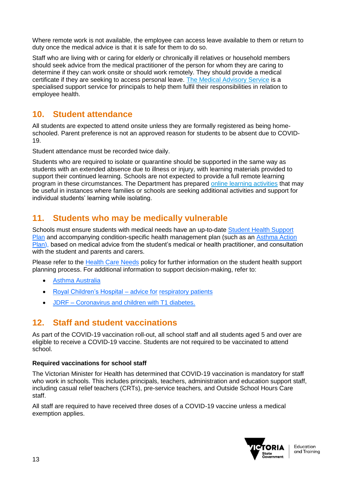Where remote work is not available, the employee can access leave available to them or return to duty once the medical advice is that it is safe for them to do so.

Staff who are living with or caring for elderly or chronically ill relatives or household members should seek advice from the medical practitioner of the person for whom they are caring to determine if they can work onsite or should work remotely. They should provide a medical certificate if they are seeking to access personal leave. [The Medical Advisory Service](https://www.education.vic.gov.au/hrweb/safetyhw/Pages/MAS.aspx) is a specialised support service for principals to help them fulfil their responsibilities in relation to employee health.

### <span id="page-12-0"></span>**10. Student attendance**

All students are expected to attend onsite unless they are formally registered as being homeschooled. Parent preference is not an approved reason for students to be absent due to COVID-19.

Student attendance must be recorded twice daily.

Students who are required to isolate or quarantine should be supported in the same way as students with an extended absence due to illness or injury, with learning materials provided to support their continued learning. Schools are not expected to provide a full remote learning program in these circumstances. The Department has prepared [online learning activities](https://fuse.education.vic.gov.au/?BC54J2) that may be useful in instances where families or schools are seeking additional activities and support for individual students' learning while isolating.

### <span id="page-12-1"></span>**11. Students who may be medically vulnerable**

Schools must ensure students with medical needs have an up-to-date [Student Health](https://www.education.vic.gov.au/Documents/school/principals/health/studenthealthsupport.doc) [Support](about:blank)  [Plan](about:blank) and accompanying condition-specific health management plan (such as an [Asthma Action](https://asthma.org.au/about-asthma/live-with-asthma/asthma-action-plan/)  [Plan\)](https://asthma.org.au/about-asthma/live-with-asthma/asthma-action-plan/), based on medical advice from the student's medical or health practitioner, and consultation with the student and parents and carers.

Please refer to the [Health Care Needs](https://www2.education.vic.gov.au/pal/health-care-needs/policy) policy for further information on the student health support planning process. For additional information to support decision-making, refer to:

- [Asthma Australia](https://asthma.org.au/blog/should-you-be-sending-your-child-to-school-if-they-have-asthma/)
- [Royal Children's Hospital –](https://www.rch.org.au/respmed/about_us/COVID-19/#should-i-let-my-child-return-to-school) advice for [respiratory patients](https://www.rch.org.au/respmed/about_us/COVID-19/#should-i-let-my-child-return-to-school)
- JDRF [Coronavirus and children with T1 diabetes.](https://jdrf.org.au/covid-19-and-children-with-t1d-your-questions-answered/)

### <span id="page-12-2"></span>**12. Staff and student vaccinations**

As part of the COVID-19 vaccination roll-out, all school staff and all students aged 5 and over are eligible to receive a COVID-19 vaccine. Students are not required to be vaccinated to attend school.

#### **Required vaccinations for school staff**

The Victorian Minister for Health has determined that COVID-19 vaccination is mandatory for staff who work in schools. This includes principals, teachers, administration and education support staff, including casual relief teachers (CRTs), pre-service teachers, and Outside School Hours Care staff.

All staff are required to have received three doses of a COVID-19 vaccine unless a medical exemption applies.

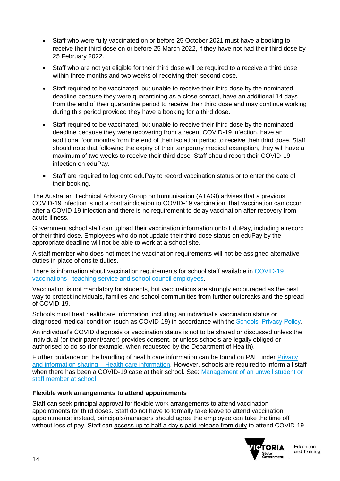- Staff who were fully vaccinated on or before 25 October 2021 must have a booking to receive their third dose on or before 25 March 2022, if they have not had their third dose by 25 February 2022.
- Staff who are not yet eligible for their third dose will be required to a receive a third dose within three months and two weeks of receiving their second dose.
- Staff required to be vaccinated, but unable to receive their third dose by the nominated deadline because they were quarantining as a close contact, have an additional 14 days from the end of their quarantine period to receive their third dose and may continue working during this period provided they have a booking for a third dose.
- Staff required to be vaccinated, but unable to receive their third dose by the nominated deadline because they were recovering from a recent COVID-19 infection, have an additional four months from the end of their isolation period to receive their third dose. Staff should note that following the expiry of their temporary medical exemption, they will have a maximum of two weeks to receive their third dose. Staff should report their COVID-19 infection on eduPay.
- Staff are required to log onto eduPay to record vaccination status or to enter the date of their booking.

The Australian Technical Advisory Group on Immunisation (ATAGI) advises that a previous COVID-19 infection is not a contraindication to COVID-19 vaccination, that vaccination can occur after a COVID-19 infection and there is no requirement to delay vaccination after recovery from acute illness.

Government school staff can upload their vaccination information onto EduPay, including a record of their third dose. Employees who do not update their third dose status on eduPay by the appropriate deadline will not be able to work at a school site.

A staff member who does not meet the vaccination requirements will not be assigned alternative duties in place of onsite duties.

There is information about vaccination requirements for school staff available in [COVID-19](file:///C:/Users/09713945/AppData/Local/Microsoft/Windows/INetCache/Content.Outlook/X3ZJAKJU/COVID-19%20Vaccinations%20-%20teaching%20service%20and%20school%20council%20employees)  vaccinations - [teaching service and school council employees.](file:///C:/Users/09713945/AppData/Local/Microsoft/Windows/INetCache/Content.Outlook/X3ZJAKJU/COVID-19%20Vaccinations%20-%20teaching%20service%20and%20school%20council%20employees)

Vaccination is not mandatory for students, but vaccinations are strongly encouraged as the best way to protect individuals, families and school communities from further outbreaks and the spread of COVID-19.

Schools must treat healthcare information, including an individual's vaccination status or diagnosed medical condition (such as COVID-19) in accordance with the **Schools' Privacy Policy**.

An individual's COVID diagnosis or vaccination status is not to be shared or discussed unless the individual (or their parent/carer) provides consent, or unless schools are legally obliged or authorised to do so (for example, when requested by the Department of Health).

Further guidance on the handling of health care information can be found on PAL under [Privacy](https://www2.education.vic.gov.au/pal/privacy-information-sharing/guidance/health-care-information)  [and information sharing –](https://www2.education.vic.gov.au/pal/privacy-information-sharing/guidance/health-care-information) Health care information. However, schools are required to inform all staff when there has been a COVID-19 case at their school. See: [Management of an unwell student or](https://www.coronavirus.vic.gov.au/managing-unwell-child-or-staff-member)  [staff member at school.](https://www.coronavirus.vic.gov.au/managing-unwell-child-or-staff-member)

#### **Flexible work arrangements to attend appointments**

Staff can seek principal approval for flexible work arrangements to attend vaccination appointments for third doses. Staff do not have to formally take leave to attend vaccination appointments; instead, principals/managers should agree the employee can take the time off without loss of pay. Staff can [access up to half a day's paid release from duty](https://list.comms.educationupdates.vic.gov.au/track/click?u=770f4d1425f14b0d9936ca688e358872&id=2df9f50f51ea7764&e=a9313e1a5943460a) to attend COVID-19

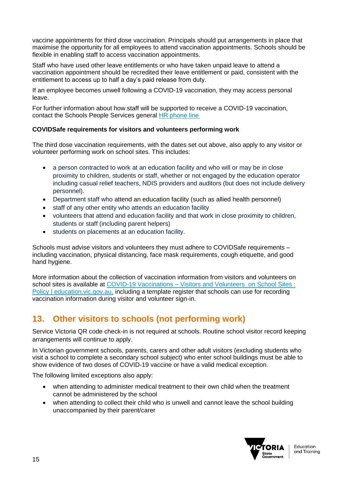vaccine appointments for third dose vaccination. Principals should put arrangements in place that maximise the opportunity for all employees to attend vaccination appointments. Schools should be flexible in enabling staff to access vaccination appointments.

Staff who have used other leave entitlements or who have taken unpaid leave to attend a vaccination appointment should be recredited their leave entitlement or paid, consistent with the entitlement to access up to half a day's paid release from duty.

If an employee becomes unwell following a COVID-19 vaccination, they may access personal leave.

For further information about how staff will be supported to receive a COVID-19 vaccination, contact the Schools People Services general HR phone line

### **COVIDSafe requirements for visitors and volunteers performing work**

The third dose vaccination requirements, with the dates set out above, also apply to any visitor or volunteer performing work on school sites. This includes:

- a person contracted to work at an education facility and who will or may be in close proximity to children, students or staff, whether or not engaged by the education operator including casual relief teachers, NDIS providers and auditors (but does not include delivery personnel).
- Department staff who attend an education facility (such as allied health personnel)
- staff of any other entity who attends an education facility
- volunteers that attend and education facility and that work in close proximity to children, students or staff (including parent helpers)
- students on placements at an education facility.

Schools must advise visitors and volunteers they must adhere to COVIDSafe requirements – including vaccination, physical distancing, face mask requirements, cough etiquette, and good hand hygiene.

More information about the collection of vaccination information from visitors and volunteers on school sites is available at COVID-19 Vaccinations – Visitors and Volunteers on School Sites : [Policy | education.vic.gov.au,](https://www2.education.vic.gov.au/pal/covid-19-vaccinations-visitors-volunteers/policy) including a template register that schools can use for recording vaccination information during visitor and volunteer sign-in.

# <span id="page-14-0"></span>**13. Other visitors to schools (not performing work)**

Service Victoria QR code check-in is not required at schools. Routine school visitor record keeping arrangements will continue to apply.

In Victorian government schools, parents, carers and other adult visitors (excluding students who visit a school to complete a secondary school subject) who enter school buildings must be able to show evidence of two doses of COVID-19 vaccine or have a valid medical exception.

The following limited exceptions also apply:

- when attending to administer medical treatment to their own child when the treatment cannot be administered by the school
- when attending to collect their child who is unwell and cannot leave the school building unaccompanied by their parent/carer

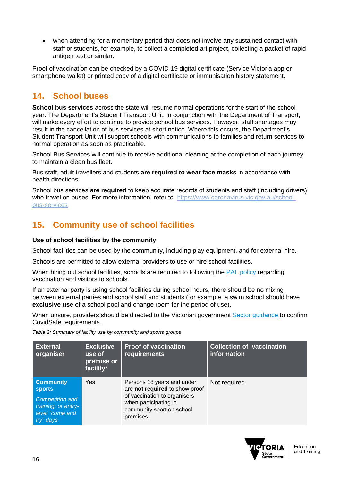• when attending for a momentary period that does not involve any sustained contact with staff or students, for example, to collect a completed art project, collecting a packet of rapid antigen test or similar.

Proof of vaccination can be checked by a COVID-19 digital certificate (Service Victoria app or smartphone wallet) or printed copy of a digital certificate or immunisation history statement.

## <span id="page-15-0"></span>**14. School buses**

**School bus services** across the state will resume normal operations for the start of the school year. The Department's Student Transport Unit, in conjunction with the Department of Transport, will make every effort to continue to provide school bus services. However, staff shortages may result in the cancellation of bus services at short notice. Where this occurs, the Department's Student Transport Unit will support schools with communications to families and return services to normal operation as soon as practicable.

School Bus Services will continue to receive additional cleaning at the completion of each journey to maintain a clean bus fleet.

Bus staff, adult travellers and students **are required to wear face masks** in accordance with health directions.

School bus services **are required** to keep accurate records of students and staff (including drivers) who travel on buses. For more information, refer to [https://www.coronavirus.vic.gov.au/school](https://aus01.safelinks.protection.outlook.com/?url=https%3A%2F%2Fwww.coronavirus.vic.gov.au%2Fschool-bus-services&data=04%7C01%7CMadeleine.Taylor2%40education.vic.gov.au%7C98e1381265a444cc3f2a08d9da0625ed%7Cd96cb3371a8744cfb69b3cec334a4c1f%7C0%7C0%7C637780542206265198%7CUnknown%7CTWFpbGZsb3d8eyJWIjoiMC4wLjAwMDAiLCJQIjoiV2luMzIiLCJBTiI6Ik1haWwiLCJXVCI6Mn0%3D%7C3000&sdata=sN54Dro555mYVeNfKaHc5y4sLPqXK86VyeOzPvzGmkI%3D&reserved=0)[bus-services](https://aus01.safelinks.protection.outlook.com/?url=https%3A%2F%2Fwww.coronavirus.vic.gov.au%2Fschool-bus-services&data=04%7C01%7CMadeleine.Taylor2%40education.vic.gov.au%7C98e1381265a444cc3f2a08d9da0625ed%7Cd96cb3371a8744cfb69b3cec334a4c1f%7C0%7C0%7C637780542206265198%7CUnknown%7CTWFpbGZsb3d8eyJWIjoiMC4wLjAwMDAiLCJQIjoiV2luMzIiLCJBTiI6Ik1haWwiLCJXVCI6Mn0%3D%7C3000&sdata=sN54Dro555mYVeNfKaHc5y4sLPqXK86VyeOzPvzGmkI%3D&reserved=0) 

# <span id="page-15-1"></span>**15. Community use of school facilities**

### **Use of school facilities by the community**

School facilities can be used by the community, including play equipment, and for external hire.

Schools are permitted to allow external providers to use or hire school facilities.

When hiring out school facilities, schools are required to following the [PAL policy](https://www2.education.vic.gov.au/pal/covid-19-vaccinations-visitors-volunteers/policy) regarding vaccination and visitors to schools.

If an external party is using school facilities during school hours, there should be no mixing between external parties and school staff and students (for example, a swim school should have **exclusive use** of a school pool and change room for the period of use).

When unsure, providers should be directed to the Victorian government [Sector guidance](https://aus01.safelinks.protection.outlook.com/?url=https%3A%2F%2Fwww.coronavirus.vic.gov.au%2Fsector-guidance&data=04%7C01%7CJoey.Nguyen2%40education.vic.gov.au%7C7ceb74e1b3f14c08852e08d9b05e3c72%7Cd96cb3371a8744cfb69b3cec334a4c1f%7C0%7C0%7C637734741063670409%7CUnknown%7CTWFpbGZsb3d8eyJWIjoiMC4wLjAwMDAiLCJQIjoiV2luMzIiLCJBTiI6Ik1haWwiLCJXVCI6Mn0%3D%7C3000&sdata=SZ8gImgyahumwwJcxAmLqVLJ8uzOsaLHs9V4kbJsTKk%3D&reserved=0) to confirm CovidSafe requirements.

*Table 2: Summary of facility use by community and sports groups*

| <b>External</b><br>organiser                                                                                        | <b>Exclusive</b><br>use of<br>premise or<br>facility* | <b>Proof of vaccination</b><br>requirements                                                                                                                     | <b>Collection of vaccination</b><br>information |
|---------------------------------------------------------------------------------------------------------------------|-------------------------------------------------------|-----------------------------------------------------------------------------------------------------------------------------------------------------------------|-------------------------------------------------|
| <b>Community</b><br><b>sports</b><br><b>Competition and</b><br>training, or entry-<br>level "come and<br>try" days' | Yes                                                   | Persons 18 years and under<br>are not required to show proof<br>of vaccination to organisers<br>when participating in<br>community sport on school<br>premises. | Not required.                                   |

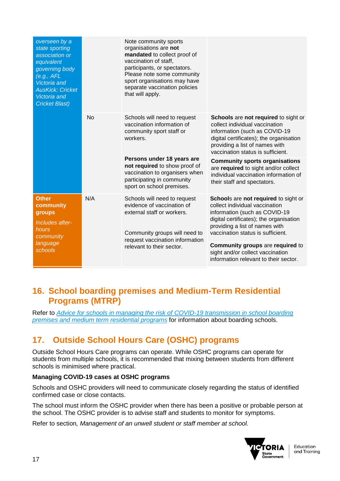| overseen by a<br>state sporting<br>association or<br>equivalent<br>governing body<br>(e.g., AFL)<br><b>Victoria</b> and<br><b>AusKick; Cricket</b><br><b>Victoria</b> and<br><b>Cricket Blast)</b> |           | Note community sports<br>organisations are not<br>mandated to collect proof of<br>vaccination of staff,<br>participants, or spectators.<br>Please note some community<br>sport organisations may have<br>separate vaccination policies<br>that will apply. |                                                                                                                                                                                                                           |
|----------------------------------------------------------------------------------------------------------------------------------------------------------------------------------------------------|-----------|------------------------------------------------------------------------------------------------------------------------------------------------------------------------------------------------------------------------------------------------------------|---------------------------------------------------------------------------------------------------------------------------------------------------------------------------------------------------------------------------|
|                                                                                                                                                                                                    | <b>No</b> | Schools will need to request<br>vaccination information of<br>community sport staff or<br>workers.                                                                                                                                                         | Schools are not required to sight or<br>collect individual vaccination<br>information (such as COVID-19<br>digital certificates); the organisation<br>providing a list of names with<br>vaccination status is sufficient. |
|                                                                                                                                                                                                    |           | Persons under 18 years are<br>not required to show proof of<br>vaccination to organisers when<br>participating in community<br>sport on school premises.                                                                                                   | <b>Community sports organisations</b><br>are required to sight and/or collect<br>individual vaccination information of<br>their staff and spectators.                                                                     |
| <b>Other</b><br>community<br>groups<br>Includes after-                                                                                                                                             | N/A       | Schools will need to request<br>evidence of vaccination of<br>external staff or workers.                                                                                                                                                                   | Schools are not required to sight or<br>collect individual vaccination<br>information (such as COVID-19<br>digital certificates); the organisation<br>providing a list of names with                                      |
| hours<br>community<br>language                                                                                                                                                                     |           | Community groups will need to<br>request vaccination information<br>relevant to their sector.                                                                                                                                                              | vaccination status is sufficient.<br><b>Community groups are required to</b>                                                                                                                                              |
| schools                                                                                                                                                                                            |           |                                                                                                                                                                                                                                                            | sight and/or collect vaccination<br>information relevant to their sector.                                                                                                                                                 |

### <span id="page-16-0"></span>**16. School boarding premises and Medium-Term Residential Programs (MTRP)**

Refer to *[Advice for schools in managing the risk of COVID-19 transmission in school boarding](https://www.coronavirus.vic.gov.au/managing-risk-covid-19-transmission-school-boarding-premises-and-medium-term-residential-programs)  [premises and medium term residential programs](https://www.coronavirus.vic.gov.au/managing-risk-covid-19-transmission-school-boarding-premises-and-medium-term-residential-programs)* for information about boarding schools.

# <span id="page-16-1"></span>**17. Outside School Hours Care (OSHC) programs**

Outside School Hours Care programs can operate. While OSHC programs can operate for students from multiple schools, it is recommended that mixing between students from different schools is minimised where practical.

### **Managing COVID-19 cases at OSHC programs**

Schools and OSHC providers will need to communicate closely regarding the status of identified confirmed case or close contacts.

The school must inform the OSHC provider when there has been a positive or probable person at the school. The OSHC provider is to advise staff and students to monitor for symptoms.

Refer to section*, Management of an unwell student or staff member at school.*

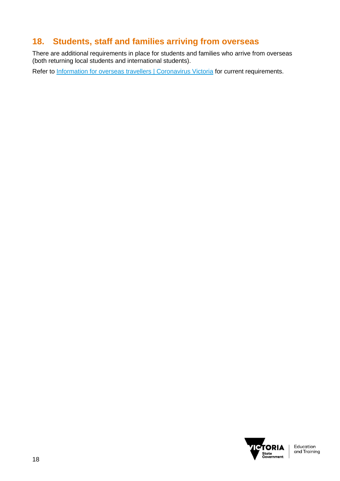# <span id="page-17-0"></span>**18. Students, staff and families arriving from overseas**

There are additional requirements in place for students and families who arrive from overseas (both returning local students and international students).

Refer to [Information for overseas travellers | Coronavirus Victoria](https://www.coronavirus.vic.gov.au/information-overseas-travellers) for current requirements.

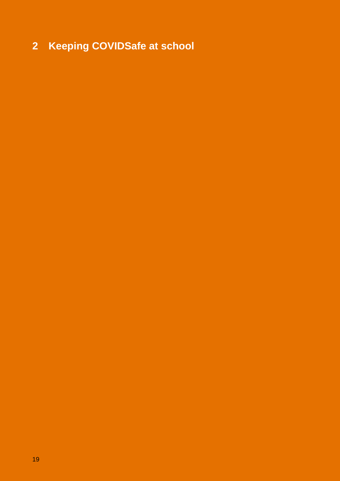# <span id="page-18-0"></span>**Keeping COVIDSafe at school**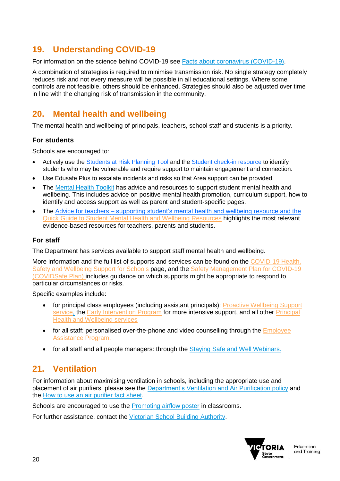## <span id="page-19-0"></span>**19. Understanding COVID-19**

For information on the science behind COVID-19 see [Facts about coronavirus \(COVID-19\).](https://www.coronavirus.vic.gov.au/facts-about-coronavirus-covid-19)

A combination of strategies is required to minimise transmission risk. No single strategy completely reduces risk and not every measure will be possible in all educational settings. Where some controls are not feasible, others should be enhanced. Strategies should also be adjusted over time in line with the changing risk of transmission in the community.

## <span id="page-19-1"></span>**20. Mental health and wellbeing**

The mental health and wellbeing of principals, teachers, school staff and students is a priority.

### **For students**

Schools are encouraged to:

- Actively use the [Students at Risk Planning Tool](https://edugate.eduweb.vic.gov.au/sites/i/_layouts/15/WopiFrame.aspx?sourcedoc=/sites/i/Shared%20Documents/students-at-risk-planning-tool.docx&action=default) and the [Student check-in resource](https://edugate.eduweb.vic.gov.au/edrms/IEPP/IEPPDETResources/Forms/AllItems.aspx?RootFolder=%2Fedrms%2FIEPP%2FIEPPDETResources%2FStudent%20Check%2DIn%20Resource&FolderCTID=0x012000F149130BAC63554FBB8397A075FEE6E2&View=%7B16357C5E%2D99F9%2D4A5E%2D9511%2D9E2775232F9A%7D) to identify students who may be vulnerable and require support to maintain engagement and connection.
- Use Edusafe Plus to escalate incidents and risks so that Area support can be provided.
- The [Mental Health Toolkit](https://www.education.vic.gov.au/school/teachers/health/mentalhealth/Pages/mentalhealthtoolkit.aspx) has advice and resources to support student mental health and wellbeing. This includes advice on positive mental health promotion, curriculum support, how to identify and access support as well as parent and student-specific pages.
- The Advice for teachers [supporting student's mental health and wellbeing](https://www.education.vic.gov.au/Documents/school/teachers/health/mentalhealth/mental-health-wellbeing-advice-for-teachers.pdf) resource and the [Quick Guide to Student Mental Health and Wellbeing Resources](https://www.education.vic.gov.au/Documents/school/teachers/health/mentalhealth/quick-guide-to-student-mental-health-and-wellbeing-resources.pdf) highlights the most relevant evidence-based resources for teachers, parents and students.

### **For staff**

The Department has services available to support staff mental health and wellbeing.

More information and the full list of supports and services can be found on the [COVID-19 Health,](https://www2.education.vic.gov.au/pal/occupational-health-and-safety-management-system-ohsms/guidance/covid-19-employee-health)  [Safety and Wellbeing Support for Schools](https://www2.education.vic.gov.au/pal/occupational-health-and-safety-management-system-ohsms/guidance/covid-19-employee-health) page, and the [Safety Management Plan for COVID-19](https://www.education.vic.gov.au/hrweb/Documents/OHS/COVID19SafetyManagementPlan.docx) (COVIDSafe Plan) includes guidance on which supports might be appropriate to respond to particular circumstances or risks.

Specific examples include:

- for principal class employees (including assistant principals): Proactive Wellbeing Support [service,](https://edugate.eduweb.vic.gov.au/sites/i/pages/production.aspx#/app/content/3027/support_and_service_(schools)%252Fhuman_resources%252Fprincipal_health_and_wellbeing%252Fproactive_wellbeing_supervision) the [Early Intervention Program](https://edugate.eduweb.vic.gov.au/sites/i/pages/production.aspx#/app/content/3025/support_and_service_(schools)%252Fhuman_resources%252Fprincipal_health_and_wellbeing%252Fearly_intervention_program) for more intensive support, and all other Principal [Health and Wellbeing services](https://edugate.eduweb.vic.gov.au/sites/i/pages/production.aspx#/app/content/2918/support_and_service_(schools)%252Fhuman_resources%252Fprincipal_health_and_wellbeing%252Fprincipal_health_and_wellbeing_strategy)
- for all staff: personalised over-the-phone and video counselling through the **Employee** [Assistance Program.](https://www.education.vic.gov.au/hrweb/safetyhw/Pages/employeeservices.aspx)
- for all staff and all people managers: through the [Staying Safe and Well Webinars.](https://edugate.eduweb.vic.gov.au/sites/i/Pages/School.aspx#/app/content/3248/support_and_service_(schools)%252Fcoronavirus_and_learning_from_home%252Fstaff_wellbeing_and_working_from_home%252Fhealth_and_wellbeing_webinars)

# <span id="page-19-2"></span>**21. Ventilation**

For information about maximising ventilation in schools, including the appropriate use and placement of air purifiers, please see the [Department's Ventilation and Air](https://www2.education.vic.gov.au/pal/ventilation-air-purification/policy) Purification policy and the [How to use an air purifier fact sheet.](https://edugate.eduweb.vic.gov.au/sites/i/_layouts/15/WopiFrame2.aspx?sourcedoc=/sites/i/Shared%20Documents/Coronavirus/Factsheet-How-to-use-an-air-purifier.pdf&action=default)

Schools are encouraged to use the **Promoting airflow poster** in classrooms.

For further assistance, contact the [Victorian School Building](https://edugate.eduweb.vic.gov.au/sites/i/Pages/School.aspx#/app/content/3554/support_and_service_(schools)%252Fcoronavirus_and_learning_from_home%252Fcovid-19_contacts%252Fcovid-19_key_contact_information) Authority.

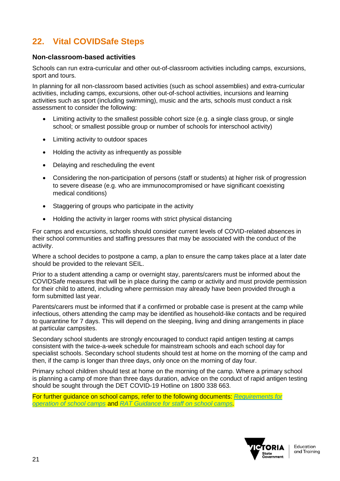# <span id="page-20-0"></span>**22. Vital COVIDSafe Steps**

### **Non-classroom-based activities**

Schools can run extra-curricular and other out-of-classroom activities including camps, excursions, sport and tours.

In planning for all non-classroom based activities (such as school assemblies) and extra-curricular activities, including camps, excursions, other out-of-school activities, incursions and learning activities such as sport (including swimming), music and the arts, schools must conduct a risk assessment to consider the following:

- Limiting activity to the smallest possible cohort size (e.g. a single class group, or single school; or smallest possible group or number of schools for interschool activity)
- Limiting activity to outdoor spaces
- Holding the activity as infrequently as possible
- Delaying and rescheduling the event
- Considering the non-participation of persons (staff or students) at higher risk of progression to severe disease (e.g. who are immunocompromised or have significant coexisting medical conditions)
- Staggering of groups who participate in the activity
- Holding the activity in larger rooms with strict physical distancing

For camps and excursions, schools should consider current levels of COVID-related absences in their school communities and staffing pressures that may be associated with the conduct of the activity.

Where a school decides to postpone a camp, a plan to ensure the camp takes place at a later date should be provided to the relevant SEIL.

Prior to a student attending a camp or overnight stay, parents/carers must be informed about the COVIDSafe measures that will be in place during the camp or activity and must provide permission for their child to attend, including where permission may already have been provided through a form submitted last year.

Parents/carers must be informed that if a confirmed or probable case is present at the camp while infectious, others attending the camp may be identified as household-like contacts and be required to quarantine for 7 days. This will depend on the sleeping, living and dining arrangements in place at particular campsites.

Secondary school students are strongly encouraged to conduct rapid antigen testing at camps consistent with the twice-a-week schedule for mainstream schools and each school day for specialist schools. Secondary school students should test at home on the morning of the camp and then, if the camp is longer than three days, only once on the morning of day four.

Primary school children should test at home on the morning of the camp. Where a primary school is planning a camp of more than three days duration, advice on the conduct of rapid antigen testing should be sought through the DET COVID-19 Hotline on 1800 338 663.

For further guidance on school camps, refer to the following documents: *[Requirements for](https://edugate.eduweb.vic.gov.au/sites/i/Pages/School.aspx#/app/content/3552/support_and_service_(schools)%252Fcoronavirus_and_learning_from_home%252Fschool_operations%252Frequirements_for_operation_of_school_camps)  [operation of school camps](https://edugate.eduweb.vic.gov.au/sites/i/Pages/School.aspx#/app/content/3552/support_and_service_(schools)%252Fcoronavirus_and_learning_from_home%252Fschool_operations%252Frequirements_for_operation_of_school_camps)* and *[RAT Guidance for staff on school camps.](https://edugate.eduweb.vic.gov.au/sites/i/_layouts/15/WopiFrame.aspx?sourcedoc=/sites/i/Shared%20Documents/rat-camp-guidance-for-staff.docx&action=default)*

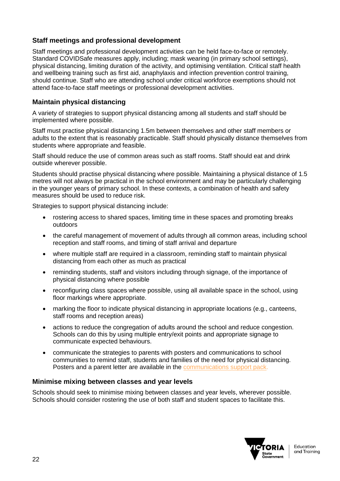### **Staff meetings and professional development**

Staff meetings and professional development activities can be held face-to-face or remotely. Standard COVIDSafe measures apply, including; mask wearing (in primary school settings), physical distancing, limiting duration of the activity, and optimising ventilation. Critical staff health and wellbeing training such as first aid, anaphylaxis and infection prevention control training, should continue. Staff who are attending school under critical workforce exemptions should not attend face-to-face staff meetings or professional development activities.

### **Maintain physical distancing**

A variety of strategies to support physical distancing among all students and staff should be implemented where possible.

Staff must practise physical distancing 1.5m between themselves and other staff members or adults to the extent that is reasonably practicable. Staff should physically distance themselves from students where appropriate and feasible.

Staff should reduce the use of common areas such as staff rooms. Staff should eat and drink outside wherever possible.

Students should practise physical distancing where possible. Maintaining a physical distance of 1.5 metres will not always be practical in the school environment and may be particularly challenging in the younger years of primary school. In these contexts, a combination of health and safety measures should be used to reduce risk.

Strategies to support physical distancing include:

- rostering access to shared spaces, limiting time in these spaces and promoting breaks outdoors
- the careful management of movement of adults through all common areas, including school reception and staff rooms, and timing of staff arrival and departure
- where multiple staff are required in a classroom, reminding staff to maintain physical distancing from each other as much as practical
- reminding students, staff and visitors including through signage, of the importance of physical distancing where possible
- reconfiguring class spaces where possible, using all available space in the school, using floor markings where appropriate.
- marking the floor to indicate physical distancing in appropriate locations (e.g., canteens, staff rooms and reception areas)
- actions to reduce the congregation of adults around the school and reduce congestion. Schools can do this by using multiple entry/exit points and appropriate signage to communicate expected behaviours.
- communicate the strategies to parents with posters and communications to school communities to remind staff, students and families of the need for physical distancing. Posters and a parent letter are available in the [communications support pack.](https://edugate.eduweb.vic.gov.au/sites/i/Pages/production.aspx#/app/content/3284/)

### **Minimise mixing between classes and year levels**

Schools should seek to minimise mixing between classes and year levels, wherever possible. Schools should consider rostering the use of both staff and student spaces to facilitate this.

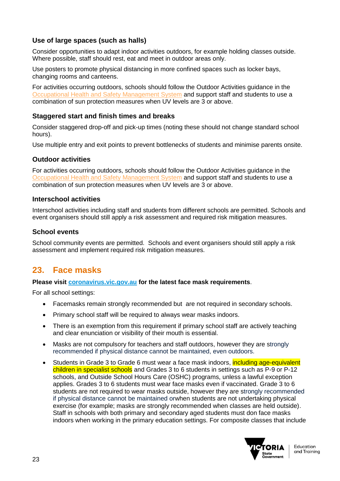### **Use of large spaces (such as halls)**

Consider opportunities to adapt indoor activities outdoors, for example holding classes outside. Where possible, staff should rest, eat and meet in outdoor areas only.

Use posters to promote physical distancing in more confined spaces such as locker bays, changing rooms and canteens.

For activities occurring outdoors, schools should follow the Outdoor Activities guidance in the [Occupational Health and Safety Management System](file:///C:/Users/09713945/Downloads/Outdoor%20Activities%20and%20Working%20Outdoors:%20Policy%20|%20education.vic.gov.au) and support staff and students to use a combination of sun protection measures when UV levels are 3 or above.

### **Staggered start and finish times and breaks**

Consider staggered drop-off and pick-up times (noting these should not change standard school hours).

Use multiple entry and exit points to prevent bottlenecks of students and minimise parents onsite.

### **Outdoor activities**

For activities occurring outdoors, schools should follow the Outdoor Activities guidance in the [Occupational Health and Safety Management System](file:///C:/Users/09713945/Downloads/Outdoor%20Activities%20and%20Working%20Outdoors:%20Policy%20|%20education.vic.gov.au) and support staff and students to use a combination of sun protection measures when UV levels are 3 or above.

### **Interschool activities**

Interschool activities including staff and students from different schools are permitted. Schools and event organisers should still apply a risk assessment and required risk mitigation measures.

### **School events**

School community events are permitted. Schools and event organisers should still apply a risk assessment and implement required risk mitigation measures.

### <span id="page-22-0"></span>**23. Face masks**

#### **Please visit [coronavirus.vic.gov.au](https://www.coronavirus.vic.gov.au/face-masks) for the latest face mask requirements**.

For all school settings:

- Facemasks remain strongly recommended but are not required in secondary schools.
- Primary school staff will be required to always wear masks indoors.
- There is an exemption from this requirement if primary school staff are actively teaching and clear enunciation or visibility of their mouth is essential.
- Masks are not compulsory for teachers and staff outdoors, however they are strongly recommended if physical distance cannot be maintained, even outdoors.
- Students in Grade 3 to Grade 6 must wear a face mask indoors, including age-equivalent children in specialist schools and Grades 3 to 6 students in settings such as P-9 or P-12 schools, and Outside School Hours Care (OSHC) programs, unless a lawful exception applies. Grades 3 to 6 students must wear face masks even if vaccinated. Grade 3 to 6 students are not required to wear masks outside, however they are strongly recommended if physical distance cannot be maintained orwhen students are not undertaking physical exercise (for example; masks are strongly recommended when classes are held outside). Staff in schools with both primary and secondary aged students must don face masks indoors when working in the primary education settings. For composite classes that include

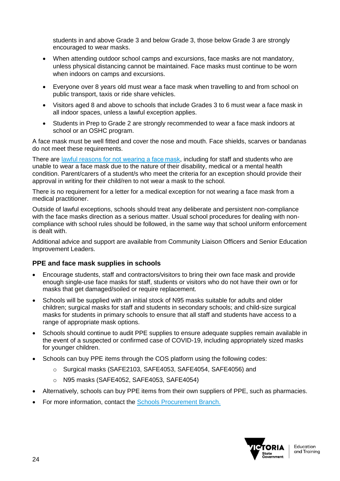students in and above Grade 3 and below Grade 3, those below Grade 3 are strongly encouraged to wear masks.

- When attending outdoor school camps and excursions, face masks are not mandatory, unless physical distancing cannot be maintained. Face masks must continue to be worn when indoors on camps and excursions.
- Everyone over 8 years old must wear a face mask when travelling to and from school on public transport, taxis or ride share vehicles.
- Visitors aged 8 and above to schools that include Grades 3 to 6 must wear a face mask in all indoor spaces, unless a lawful exception applies.
- Students in Prep to Grade 2 are strongly recommended to wear a face mask indoors at school or an OSHC program.

A face mask must be well fitted and cover the nose and mouth. Face shields, scarves or bandanas do not meet these requirements.

There are lawful reasons for not wearing a face mask, including for staff and students who are unable to wear a face mask due to the nature of their disability, medical or a mental health condition. Parent/carers of a student/s who meet the criteria for an exception should provide their approval in writing for their child/ren to not wear a mask to the school.

There is no requirement for a letter for a medical exception for not wearing a face mask from a medical practitioner.

Outside of lawful exceptions, schools should treat any deliberate and persistent non-compliance with the face masks direction as a serious matter. Usual school procedures for dealing with noncompliance with school rules should be followed, in the same way that school uniform enforcement is dealt with.

Additional advice and support are available from Community Liaison Officers and Senior Education Improvement Leaders.

### **PPE and face mask supplies in schools**

- Encourage students, staff and contractors/visitors to bring their own face mask and provide enough single-use face masks for staff, students or visitors who do not have their own or for masks that get damaged/soiled or require replacement.
- Schools will be supplied with an initial stock of N95 masks suitable for adults and older children; surgical masks for staff and students in secondary schools; and child-size surgical masks for students in primary schools to ensure that all staff and students have access to a range of appropriate mask options.
- Schools should continue to audit PPE supplies to ensure adequate supplies remain available in the event of a suspected or confirmed case of COVID-19, including appropriately sized masks for younger children.
- Schools can buy PPE items through the COS platform using the following codes:
	- o Surgical masks (SAFE2103, SAFE4053, SAFE4054, SAFE4056) and
	- o N95 masks (SAFE4052, SAFE4053, SAFE4054)
- Alternatively, schools can buy PPE items from their own suppliers of PPE, such as pharmacies.
- For more information, contact the **Schools Procurement Branch.**

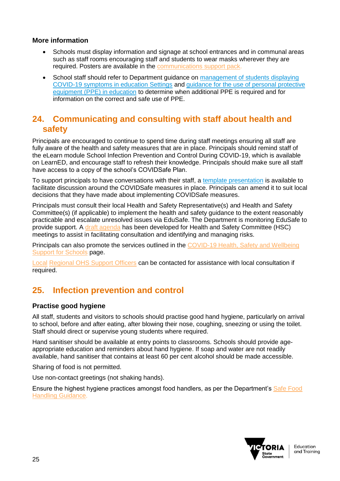### **More information**

- Schools must display information and signage at school entrances and in communal areas such as staff rooms encouraging staff and students to wear masks wherever they are required. Posters are available in the [communications support pack.](https://edugate.eduweb.vic.gov.au/sites/i/Pages/production.aspx#/app/content/3284/)
- School staff should refer to Department guidance on management of students displaying [COVID-19 symptoms in education Settings](https://edugate.eduweb.vic.gov.au/sites/i/_layouts/15/WopiFrame2.aspx?sourcedoc=/sites/i/Shared%20Documents/Coronavirus/students-with-covid-symptoms.docx&action=default) and [guidance for the use of personal protective](https://edugate.eduweb.vic.gov.au/sites/i/_layouts/15/WopiFrame.aspx?sourcedoc=/sites/i/Shared%20Documents/Guidance-for-the-use-of-PPE-in-education-settings.docx&action=default)  [equipment \(PPE\) in education](https://edugate.eduweb.vic.gov.au/sites/i/_layouts/15/WopiFrame.aspx?sourcedoc=/sites/i/Shared%20Documents/Guidance-for-the-use-of-PPE-in-education-settings.docx&action=default) to determine when additional PPE is required and for information on the correct and safe use of PPE.

### <span id="page-24-0"></span>**24. Communicating and consulting with staff about health and safety**

Principals are encouraged to continue to spend time during staff meetings ensuring all staff are fully aware of the health and safety measures that are in place. Principals should remind staff of the eLearn module School Infection Prevention and Control During COVID-19, which is available on LearnED, and encourage staff to refresh their knowledge. Principals should make sure all staff have access to a copy of the school's COVIDSafe Plan.

To support principals to have conversations with their staff, a [template presentation](https://edugate.eduweb.vic.gov.au/sites/i/Pages/School.aspx?utm_source=email+marketing+Mailigen&utm_campaign=EmergencySchools27Jan2022&utm_medium=email#/app/content/3284/support_and_service_(schools)%252Fcoronavirus_and_learning_from_home%252Fcommunicating_with_parents_and_students%252Fcommunications_support_pack) is available to facilitate discussion around the COVIDSafe measures in place. Principals can amend it to suit local decisions that they have made about implementing COVIDSafe measures.

Principals must consult their local Health and Safety Representative(s) and Health and Safety Committee(s) (if applicable) to implement the health and safety guidance to the extent reasonably practicable and escalate unresolved issues via EduSafe. The Department is monitoring EduSafe to provide support. A [draft agenda](https://www.education.vic.gov.au/hrweb/Documents/OHS/HealthandSafetyCommitteMeetingAgenda-COVIDandreturntoschool.docx) has been developed for Health and Safety Committee (HSC) meetings to assist in facilitating consultation and identifying and managing risks.

Principals can also promote the services outlined in the [COVID-19 Health, Safety and Wellbeing](https://www2.education.vic.gov.au/pal/occupational-health-and-safety-management-system-ohsms/guidance/covid-19-employee-health)  [Support for Schools](https://www2.education.vic.gov.au/pal/occupational-health-and-safety-management-system-ohsms/guidance/covid-19-employee-health) page.

[Local](file://///Local) [Regional OHS Support Officers](https://www2.education.vic.gov.au/pal/occupational-health-and-safety-management-system-ohsms/guidance/useful-contacts-schools) can be contacted for assistance with local consultation if required.

# <span id="page-24-1"></span>**25. Infection prevention and control**

### **Practise good hygiene**

All staff, students and visitors to schools should practise good hand hygiene, particularly on arrival to school, before and after eating, after blowing their nose, coughing, sneezing or using the toilet. Staff should direct or supervise young students where required.

Hand sanitiser should be available at entry points to classrooms. Schools should provide ageappropriate education and reminders about hand hygiene. If soap and water are not readily available, hand sanitiser that contains at least 60 per cent alcohol should be made accessible.

Sharing of food is not permitted.

Use non-contact greetings (not shaking hands).

Ensure the highest hygiene practices amongst food handlers, as per the Department's [Safe Food](https://www2.education.vic.gov.au/pal/food-handling/guidance)  [Handling Guidance.](https://www2.education.vic.gov.au/pal/food-handling/guidance)